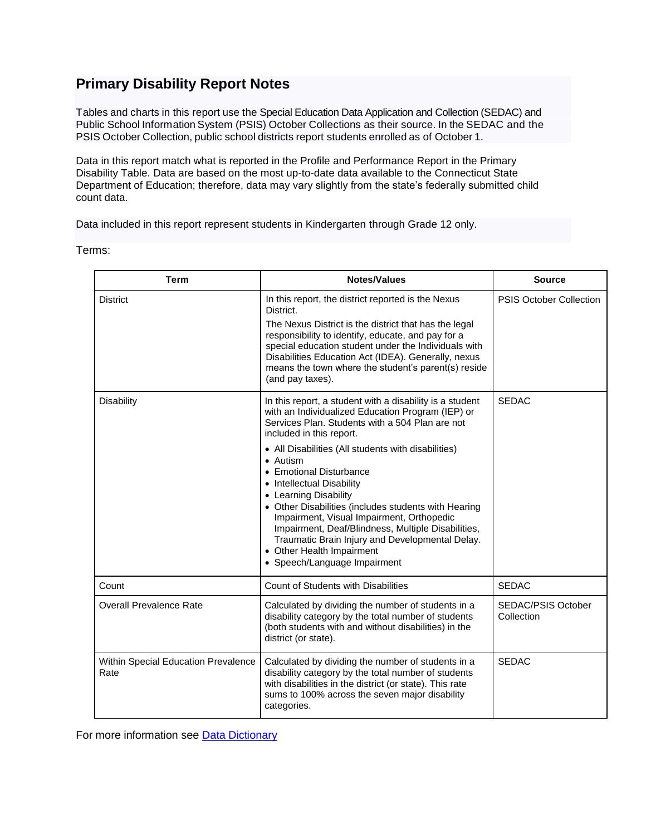## **Primary Disability Report Notes**

Tables and charts in this report use the Special Education Data Application and Collection (SEDAC) and Public School Information System (PSIS) October Collections as their source. In the SEDAC and the PSIS October Collection, public school districts report students enrolled as of October 1.

Data in this report match what is reported in the Profile and Performance Report in the Primary Disability Table. Data are based on the most up-to-date data available to the Connecticut State Department of Education; therefore, data may vary slightly from the state's federally submitted child count data.

Data included in this report represent students in Kindergarten through Grade 12 only.

Terms:

| <b>Term</b>                                        | Notes/Values                                                                                                                                                                                                                                                                                                                                                                                                                                                                                                                                                                                                                | <b>Source</b>                    |
|----------------------------------------------------|-----------------------------------------------------------------------------------------------------------------------------------------------------------------------------------------------------------------------------------------------------------------------------------------------------------------------------------------------------------------------------------------------------------------------------------------------------------------------------------------------------------------------------------------------------------------------------------------------------------------------------|----------------------------------|
| <b>District</b>                                    | In this report, the district reported is the Nexus<br>District.<br>The Nexus District is the district that has the legal<br>responsibility to identify, educate, and pay for a<br>special education student under the Individuals with<br>Disabilities Education Act (IDEA). Generally, nexus<br>means the town where the student's parent(s) reside<br>(and pay taxes).                                                                                                                                                                                                                                                    | <b>PSIS October Collection</b>   |
| Disability                                         | In this report, a student with a disability is a student<br>with an Individualized Education Program (IEP) or<br>Services Plan. Students with a 504 Plan are not<br>included in this report.<br>• All Disabilities (All students with disabilities)<br>• Autism<br>• Emotional Disturbance<br>• Intellectual Disability<br>• Learning Disability<br>• Other Disabilities (includes students with Hearing<br>Impairment, Visual Impairment, Orthopedic<br>Impairment, Deaf/Blindness, Multiple Disabilities,<br>Traumatic Brain Injury and Developmental Delay.<br>• Other Health Impairment<br>• Speech/Language Impairment | <b>SEDAC</b>                     |
| Count                                              | <b>Count of Students with Disabilities</b>                                                                                                                                                                                                                                                                                                                                                                                                                                                                                                                                                                                  | <b>SEDAC</b>                     |
| <b>Overall Prevalence Rate</b>                     | Calculated by dividing the number of students in a<br>disability category by the total number of students<br>(both students with and without disabilities) in the<br>district (or state).                                                                                                                                                                                                                                                                                                                                                                                                                                   | SEDAC/PSIS October<br>Collection |
| <b>Within Special Education Prevalence</b><br>Rate | Calculated by dividing the number of students in a<br>disability category by the total number of students<br>with disabilities in the district (or state). This rate<br>sums to 100% across the seven major disability<br>categories.                                                                                                                                                                                                                                                                                                                                                                                       | <b>SEDAC</b>                     |

For more information see Data [Dictionary](http://edsight.ct.gov/relatedreports/CSDE_LDS_PhyscialDictionary.pdf)